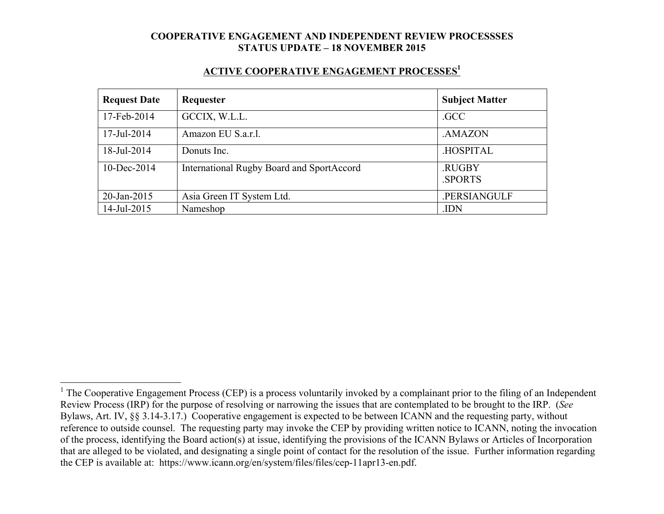#### **ACTIVE COOPERATIVE ENGAGEMENT PROCESSES<sup>1</sup>**

| <b>Request Date</b> | Requester                                 | <b>Subject Matter</b> |
|---------------------|-------------------------------------------|-----------------------|
| 17-Feb-2014         | GCCIX, W.L.L.                             | .GCC                  |
| 17-Jul-2014         | Amazon EU S.a.r.l.                        | .AMAZON               |
| 18-Jul-2014         | Donuts Inc.                               | .HOSPITAL             |
| $10$ -Dec-2014      | International Rugby Board and SportAccord | .RUGBY<br>.SPORTS     |
| 20-Jan-2015         | Asia Green IT System Ltd.                 | .PERSIANGULF          |
| 14-Jul-2015         | Nameshop                                  | .IDN                  |

<sup>&</sup>lt;sup>1</sup> The Cooperative Engagement Process (CEP) is a process voluntarily invoked by a complainant prior to the filing of an Independent Review Process (IRP) for the purpose of resolving or narrowing the issues that are contemplated to be brought to the IRP. (*See* Bylaws, Art. IV, §§ 3.14-3.17.) Cooperative engagement is expected to be between ICANN and the requesting party, without reference to outside counsel. The requesting party may invoke the CEP by providing written notice to ICANN, noting the invocation of the process, identifying the Board action(s) at issue, identifying the provisions of the ICANN Bylaws or Articles of Incorporation that are alleged to be violated, and designating a single point of contact for the resolution of the issue. Further information regarding the CEP is available at: https://www.icann.org/en/system/files/files/cep-11apr13-en.pdf.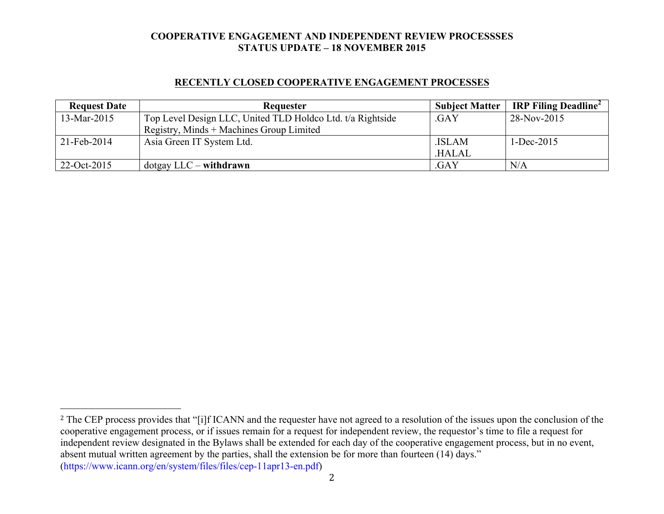### **RECENTLY CLOSED COOPERATIVE ENGAGEMENT PROCESSES**

| <b>Request Date</b> | Requester                                                  | <b>Subject Matter</b> | IRP Filing Deadline <sup>2</sup> |
|---------------------|------------------------------------------------------------|-----------------------|----------------------------------|
| 13-Mar-2015         | Top Level Design LLC, United TLD Holdco Ltd. t/a Rightside | .GAY                  | 28-Nov-2015                      |
|                     | Registry, Minds + Machines Group Limited                   |                       |                                  |
| $21$ -Feb-2014      | Asia Green IT System Ltd.                                  | .ISLAM                | $1 - Dec-2015$                   |
|                     |                                                            | .HALAL                |                                  |
| 22-Oct-2015         | $dot$ gay LLC – withdrawn                                  | .GAY                  | N/A                              |

2

<sup>&</sup>lt;sup>2</sup> The CEP process provides that "[i]f ICANN and the requester have not agreed to a resolution of the issues upon the conclusion of the cooperative engagement process, or if issues remain for a request for independent review, the requestor's time to file a request for independent review designated in the Bylaws shall be extended for each day of the cooperative engagement process, but in no event, absent mutual written agreement by the parties, shall the extension be for more than fourteen (14) days." (https://www.icann.org/en/system/files/files/cep-11apr13-en.pdf)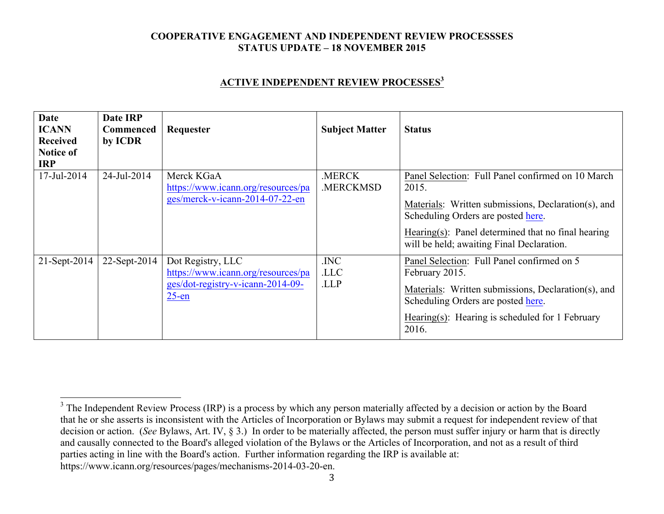### **ACTIVE INDEPENDENT REVIEW PROCESSES<sup>3</sup>**

| <b>Date</b><br><b>ICANN</b><br><b>Received</b><br><b>Notice of</b><br><b>IRP</b> | Date IRP<br><b>Commenced</b><br>by ICDR | Requester                                                                                                | <b>Subject Matter</b>     | <b>Status</b>                                                                                                                                                                                                                                              |
|----------------------------------------------------------------------------------|-----------------------------------------|----------------------------------------------------------------------------------------------------------|---------------------------|------------------------------------------------------------------------------------------------------------------------------------------------------------------------------------------------------------------------------------------------------------|
| 17-Jul-2014                                                                      | 24-Jul-2014                             | Merck KGaA<br>https://www.icann.org/resources/pa<br>ges/merck-v-icann-2014-07-22-en                      | .MERCK<br><b>MERCKMSD</b> | Panel Selection: Full Panel confirmed on 10 March<br>2015.<br>Materials: Written submissions, Declaration(s), and<br>Scheduling Orders are posted here.<br>Hearing(s): Panel determined that no final hearing<br>will be held; awaiting Final Declaration. |
| $21-Sept-2014$                                                                   | 22-Sept-2014                            | Dot Registry, LLC<br>https://www.icann.org/resources/pa<br>ges/dot-registry-v-icann-2014-09-<br>$25$ -en | .INC<br>.LLC<br>.LLP      | Panel Selection: Full Panel confirmed on 5<br>February 2015.<br>Materials: Written submissions, Declaration(s), and<br>Scheduling Orders are posted here.<br>Hearing(s): Hearing is scheduled for 1 February<br>2016.                                      |

3

 $3$  The Independent Review Process (IRP) is a process by which any person materially affected by a decision or action by the Board that he or she asserts is inconsistent with the Articles of Incorporation or Bylaws may submit a request for independent review of that decision or action. (*See* Bylaws, Art. IV, § 3.) In order to be materially affected, the person must suffer injury or harm that is directly and causally connected to the Board's alleged violation of the Bylaws or the Articles of Incorporation, and not as a result of third parties acting in line with the Board's action. Further information regarding the IRP is available at: https://www.icann.org/resources/pages/mechanisms-2014-03-20-en.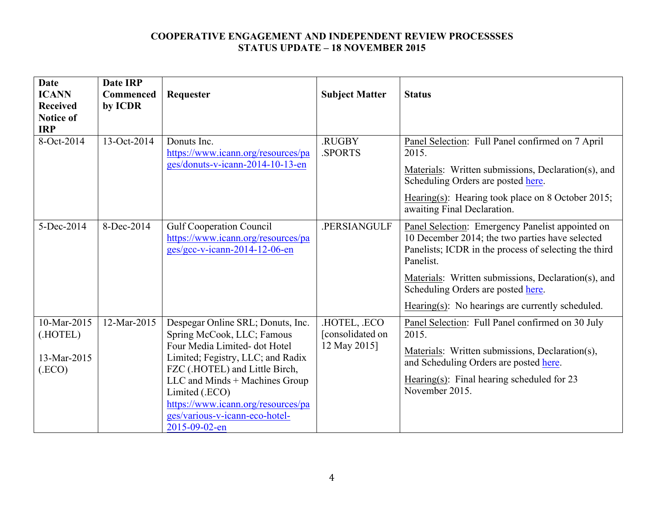| <b>Date</b><br><b>ICANN</b><br><b>Received</b><br><b>Notice of</b><br><b>IRP</b> | <b>Date IRP</b><br>Commenced<br>by ICDR | Requester                                                                                                                                                                                                                                                                                                            | <b>Subject Matter</b>                          | <b>Status</b>                                                                                                                                                                                                                                                                                                              |
|----------------------------------------------------------------------------------|-----------------------------------------|----------------------------------------------------------------------------------------------------------------------------------------------------------------------------------------------------------------------------------------------------------------------------------------------------------------------|------------------------------------------------|----------------------------------------------------------------------------------------------------------------------------------------------------------------------------------------------------------------------------------------------------------------------------------------------------------------------------|
| 8-Oct-2014                                                                       | 13-Oct-2014                             | Donuts Inc.<br>https://www.icann.org/resources/pa<br>ges/donuts-v-icann-2014-10-13-en                                                                                                                                                                                                                                | .RUGBY<br>.SPORTS                              | Panel Selection: Full Panel confirmed on 7 April<br>2015.<br>Materials: Written submissions, Declaration(s), and<br>Scheduling Orders are posted here.<br>Hearing(s): Hearing took place on 8 October 2015;<br>awaiting Final Declaration.                                                                                 |
| 5-Dec-2014                                                                       | 8-Dec-2014                              | <b>Gulf Cooperation Council</b><br>https://www.icann.org/resources/pa<br>ges/gcc-v-icann-2014-12-06-en                                                                                                                                                                                                               | .PERSIANGULF                                   | Panel Selection: Emergency Panelist appointed on<br>10 December 2014; the two parties have selected<br>Panelists; ICDR in the process of selecting the third<br>Panelist.<br>Materials: Written submissions, Declaration(s), and<br>Scheduling Orders are posted here.<br>Hearing(s): No hearings are currently scheduled. |
| 10-Mar-2015<br>(.HOTEL)<br>13-Mar-2015<br>(ECO)                                  | 12-Mar-2015                             | Despegar Online SRL; Donuts, Inc.<br>Spring McCook, LLC; Famous<br>Four Media Limited- dot Hotel<br>Limited; Fegistry, LLC; and Radix<br>FZC (.HOTEL) and Little Birch,<br>LLC and Minds + Machines Group<br>Limited (.ECO)<br>https://www.icann.org/resources/pa<br>ges/various-v-icann-eco-hotel-<br>2015-09-02-en | HOTEL, ECO<br>[consolidated on<br>12 May 2015] | Panel Selection: Full Panel confirmed on 30 July<br>2015.<br>Materials: Written submissions, Declaration(s),<br>and Scheduling Orders are posted here.<br>Hearing $(s)$ : Final hearing scheduled for 23<br>November 2015.                                                                                                 |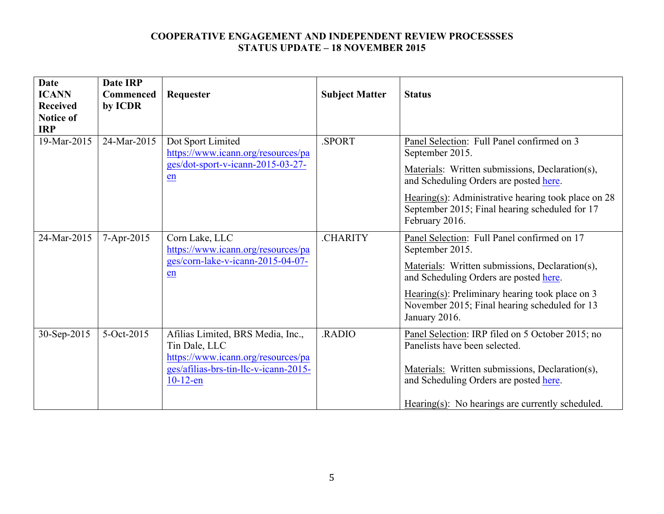| <b>Date</b><br><b>ICANN</b><br><b>Received</b><br><b>Notice of</b><br><b>IRP</b> | <b>Date IRP</b><br><b>Commenced</b><br>by ICDR | Requester                                                                                                                                        | <b>Subject Matter</b> | <b>Status</b>                                                                                                                                                                                                                                                                      |
|----------------------------------------------------------------------------------|------------------------------------------------|--------------------------------------------------------------------------------------------------------------------------------------------------|-----------------------|------------------------------------------------------------------------------------------------------------------------------------------------------------------------------------------------------------------------------------------------------------------------------------|
| 19-Mar-2015                                                                      | 24-Mar-2015                                    | Dot Sport Limited<br>https://www.icann.org/resources/pa<br>ges/dot-sport-v-icann-2015-03-27-<br>en                                               | SPORT.                | Panel Selection: Full Panel confirmed on 3<br>September 2015.<br>Materials: Written submissions, Declaration(s),<br>and Scheduling Orders are posted here.                                                                                                                         |
|                                                                                  |                                                |                                                                                                                                                  |                       | Hearing(s): Administrative hearing took place on $28$<br>September 2015; Final hearing scheduled for 17<br>February 2016.                                                                                                                                                          |
| 24-Mar-2015                                                                      | 7-Apr-2015                                     | Corn Lake, LLC<br>https://www.icann.org/resources/pa<br>ges/corn-lake-v-icann-2015-04-07-<br>en                                                  | <b>CHARITY</b>        | Panel Selection: Full Panel confirmed on 17<br>September 2015.<br>Materials: Written submissions, Declaration(s),<br>and Scheduling Orders are posted here.<br>Hearing(s): Preliminary hearing took place on $3$<br>November 2015; Final hearing scheduled for 13<br>January 2016. |
| 30-Sep-2015                                                                      | 5-Oct-2015                                     | Afilias Limited, BRS Media, Inc.,<br>Tin Dale, LLC<br>https://www.icann.org/resources/pa<br>ges/afilias-brs-tin-llc-v-icann-2015-<br>$10-12$ -en | RADIO.                | Panel Selection: IRP filed on 5 October 2015; no<br>Panelists have been selected.<br>Materials: Written submissions, Declaration(s),<br>and Scheduling Orders are posted here.<br>Hearing(s): No hearings are currently scheduled.                                                 |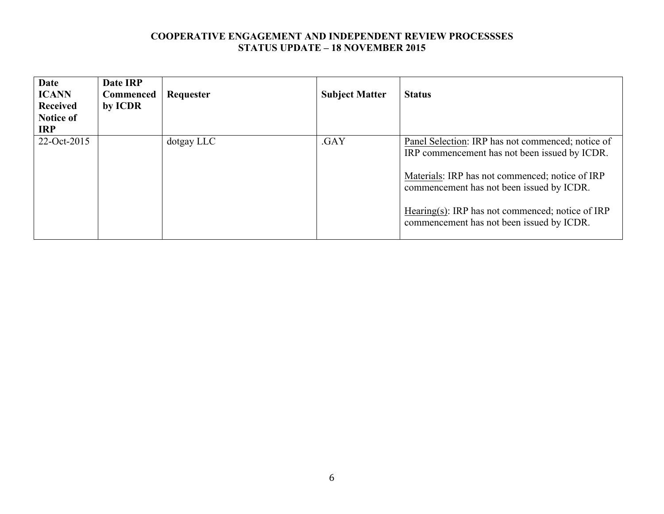| <b>Date</b><br><b>ICANN</b><br><b>Received</b><br><b>Notice of</b><br><b>IRP</b> | Date IRP<br><b>Commenced</b><br>by ICDR | Requester  | <b>Subject Matter</b> | <b>Status</b>                                                                                                                                                                                                                                                                                       |
|----------------------------------------------------------------------------------|-----------------------------------------|------------|-----------------------|-----------------------------------------------------------------------------------------------------------------------------------------------------------------------------------------------------------------------------------------------------------------------------------------------------|
| 22-Oct-2015                                                                      |                                         | dotgay LLC | .GAY                  | Panel Selection: IRP has not commenced; notice of<br>IRP commencement has not been issued by ICDR.<br>Materials: IRP has not commenced; notice of IRP<br>commencement has not been issued by ICDR.<br>Hearing(s): IRP has not commenced; notice of IRP<br>commencement has not been issued by ICDR. |